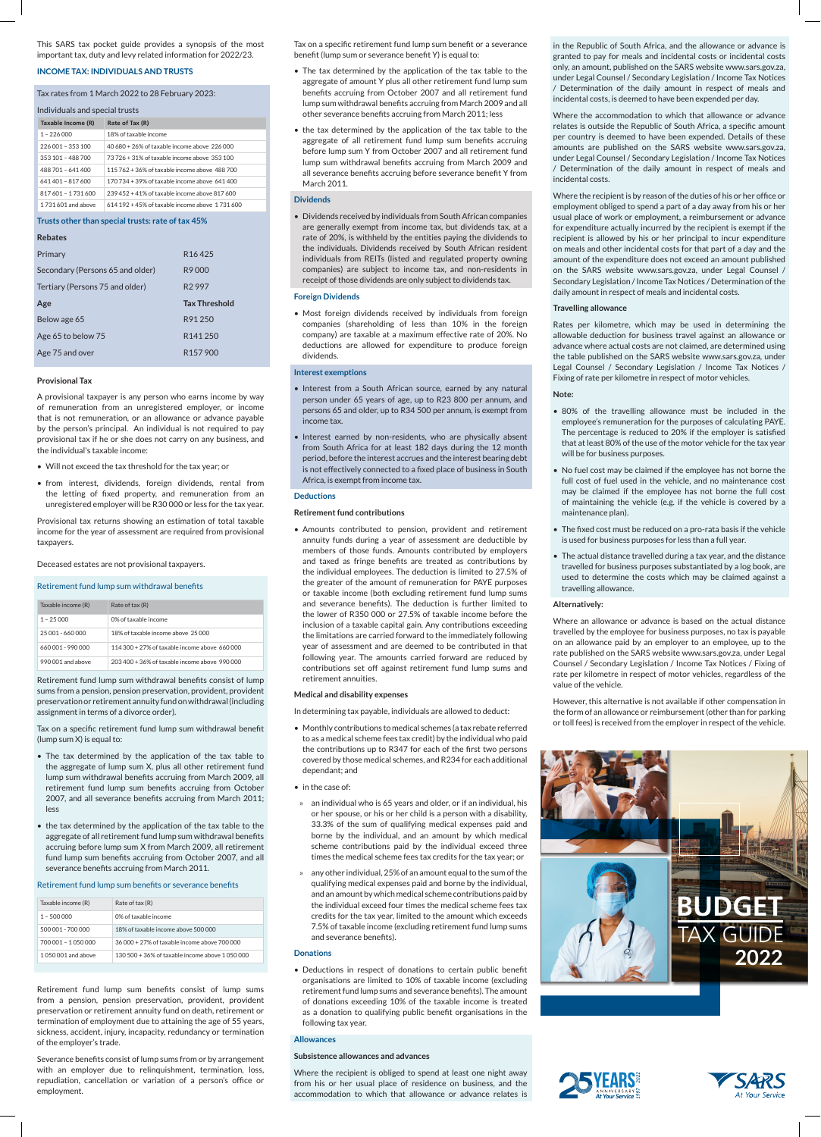This SARS tax pocket guide provides a synopsis of the most important tax, duty and levy related information for 2022/23.

# **INCOME TAX: INDIVIDUALS AND TRUSTS**

# Tax rates from 1 March 2022 to 28 February 2023:

| Individuals and special trusts                    |                                                 |  |  |
|---------------------------------------------------|-------------------------------------------------|--|--|
| Taxable Income (R)                                | Rate of Tax (R)                                 |  |  |
| $1 - 226000$                                      | 18% of taxable income                           |  |  |
| 226 001 - 353 100                                 | 40.680 + 26% of taxable income above 226,000    |  |  |
| 353 101 - 488 700                                 | 73 726 + 31% of taxable income above 353 100    |  |  |
| 488 701 - 641 400                                 | 115 762 + 36% of taxable income above 488 700   |  |  |
| 641 401 - 817 600                                 | 170 734 + 39% of taxable income above 641 400   |  |  |
| 817 601 - 1 731 600                               | 239 452 + 41% of taxable income above 817 600   |  |  |
| 1731601 and above                                 | 614 192 + 45% of taxable income above 1 731 600 |  |  |
| Trusts other than special trusts: rate of tax 45% |                                                 |  |  |
| <b>Rebates</b>                                    |                                                 |  |  |
| Primary                                           | R <sub>16</sub> 425                             |  |  |
| Secondary (Persons 65 and older)                  | R9000                                           |  |  |

| Secondary (Persons 65 and older) | R9000                |
|----------------------------------|----------------------|
| Tertiary (Persons 75 and older)  | R <sub>2997</sub>    |
| Age                              | <b>Tax Threshold</b> |
| Below age 65                     | R91 250              |
| Age 65 to below 75               | R <sub>141</sub> 250 |
| Age 75 and over                  | R <sub>157</sub> 900 |

#### **Provisional Tax**

A provisional taxpayer is any person who earns income by way of remuneration from an unregistered employer, or income that is not remuneration, or an allowance or advance payable by the person's principal. An individual is not required to pay provisional tax if he or she does not carry on any business, and the individual's taxable income:

- Will not exceed the tax threshold for the tax year; or
- from interest, dividends, foreign dividends, rental from the letting of fixed property, and remuneration from an unregistered employer will be R30 000 or less for the tax year.

Provisional tax returns showing an estimation of total taxable income for the year of assessment are required from provisional taxpayers.

Deceased estates are not provisional taxpayers.

# Retirement fund lump sum withdrawal benefits

| Taxable income (R) | Rate of tax (R)                                  |
|--------------------|--------------------------------------------------|
| $1 - 25000$        | 0% of taxable income                             |
| 25 001 - 660 000   | 18% of taxable income above 25,000               |
| 660,001 - 990,000  | $114.300 + 27\%$ of taxable income above 660,000 |
| 990 001 and above  | 203 400 + 36% of taxable income above 990 000    |

Retirement fund lump sum withdrawal benefits consist of lump sums from a pension, pension preservation, provident, provident preservation or retirement annuity fund on withdrawal (including assignment in terms of a divorce order).

Tax on a specific retirement fund lump sum withdrawal benefit (lump sum X) is equal to:

- The tax determined by the application of the tax table to the aggregate of lump sum X, plus all other retirement fund lump sum withdrawal benefits accruing from March 2009, all retirement fund lump sum benefits accruing from October 2007, and all severance benefits accruing from March 2011; less
- the tax determined by the application of the tax table to the aggregate of all retirement fund lump sum withdrawal benefits accruing before lump sum X from March 2009, all retirement fund lump sum benefits accruing from October 2007, and all severance benefits accruing from March 2011.

#### Retirement fund lump sum benefits or severance benefits

| Taxable income (R)  | Rate of tax (R)                                    |
|---------------------|----------------------------------------------------|
| $1 - 500000$        | 0% of taxable income                               |
| 500.001 - 700.000   | 18% of taxable income above 500,000                |
| 700.001 - 1.050.000 | 36 000 + 27% of taxable income above 700 000       |
| 1050001 and above   | $130.500 + 36\%$ of taxable income above 1.050.000 |

Retirement fund lump sum benefits consist of lump sums from a pension, pension preservation, provident, provident preservation or retirement annuity fund on death, retirement or termination of employment due to attaining the age of 55 years, sickness, accident, injury, incapacity, redundancy or termination of the employer's trade.

Severance benefits consist of lump sums from or by arrangement with an employer due to relinquishment, termination, loss, repudiation, cancellation or variation of a person's office or employment.

Tax on a specific retirement fund lump sum benefit or a severance benefit (lump sum or severance benefit Y) is equal to:

- The tax determined by the application of the tax table to the aggregate of amount Y plus all other retirement fund lump sum benefits accruing from October 2007 and all retirement fund lump sum withdrawal benefits accruing from March 2009 and all other severance benefits accruing from March 2011; less
- the tax determined by the application of the tax table to the aggregate of all retirement fund lump sum benefits accruing before lump sum Y from October 2007 and all retirement fund lump sum withdrawal benefits accruing from March 2009 and all severance benefits accruing before severance benefit Y from March 2011.

#### **Dividends**

• Dividends received by individuals from South African companies are generally exempt from income tax, but dividends tax, at a rate of 20%, is withheld by the entities paying the dividends to the individuals. Dividends received by South African resident individuals from REITs (listed and regulated property owning companies) are subject to income tax, and non-residents in receipt of those dividends are only subject to dividends tax.

#### **Foreign Dividends**

• Most foreign dividends received by individuals from foreign companies (shareholding of less than 10% in the foreign company) are taxable at a maximum effective rate of 20%. No deductions are allowed for expenditure to produce foreign dividends.

# **Interest exemptions**

- Interest from a South African source, earned by any natural person under 65 years of age, up to R23 800 per annum, and persons 65 and older, up to R34 500 per annum, is exempt from income tax.
- Interest earned by non-residents, who are physically absent from South Africa for at least 182 days during the 12 month period, before the interest accrues and the interest bearing debt is not effectively connected to a fixed place of business in South Africa, is exempt from income tax.

#### **Deductions**

**Retirement fund contributions**

• Amounts contributed to pension, provident and retirement annuity funds during a year of assessment are deductible by members of those funds. Amounts contributed by employers and taxed as fringe benefits are treated as contributions by the individual employees. The deduction is limited to 27.5% of the greater of the amount of remuneration for PAYE purposes or taxable income (both excluding retirement fund lump sums and severance benefits). The deduction is further limited to the lower of R350 000 or 27.5% of taxable income before the inclusion of a taxable capital gain. Any contributions exceeding the limitations are carried forward to the immediately following year of assessment and are deemed to be contributed in that following year. The amounts carried forward are reduced by contributions set off against retirement fund lump sums and retirement annuities.

# **Medical and disability expenses**

In determining tax payable, individuals are allowed to deduct:

- Monthly contributions to medical schemes (a tax rebate referred to as a medical scheme fees tax credit) by the individual who paid the contributions up to R347 for each of the first two persons covered by those medical schemes, and R234 for each additional dependant; and
- in the case of:
- » an individual who is 65 years and older, or if an individual, his or her spouse, or his or her child is a person with a disability, 33.3% of the sum of qualifying medical expenses paid and borne by the individual, and an amount by which medical scheme contributions paid by the individual exceed three times the medical scheme fees tax credits for the tax year; or
- » any other individual, 25% of an amount equal to the sum of the qualifying medical expenses paid and borne by the individual, and an amount by which medical scheme contributions paid by the individual exceed four times the medical scheme fees tax credits for the tax year, limited to the amount which exceeds 7.5% of taxable income (excluding retirement fund lump sums and severance benefits).

#### **Donations**

• Deductions in respect of donations to certain public benefit organisations are limited to 10% of taxable income (excluding retirement fund lump sums and severance benefits). The amount of donations exceeding 10% of the taxable income is treated as a donation to qualifying public benefit organisations in the following tax year.

### **Allowances**

#### **Subsistence allowances and advances**

Where the recipient is obliged to spend at least one night away from his or her usual place of residence on business, and the accommodation to which that allowance or advance relates is in the Republic of South Africa, and the allowance or advance is granted to pay for meals and incidental costs or incidental costs only, an amount, published on the SARS website www.sars.gov.za, under Legal Counsel / Secondary Legislation / Income Tax Notices / Determination of the daily amount in respect of meals and incidental costs, is deemed to have been expended per day.

Where the accommodation to which that allowance or advance relates is outside the Republic of South Africa, a specific amount per country is deemed to have been expended. Details of these amounts are published on the SARS website www.sars.gov.za, under Legal Counsel / Secondary Legislation / Income Tax Notices / Determination of the daily amount in respect of meals and incidental costs.

Where the recipient is by reason of the duties of his or her office or employment obliged to spend a part of a day away from his or her usual place of work or employment, a reimbursement or advance for expenditure actually incurred by the recipient is exempt if the recipient is allowed by his or her principal to incur expenditure on meals and other incidental costs for that part of a day and the amount of the expenditure does not exceed an amount published on the SARS website www.sars.gov.za, under Legal Counsel / Secondary Legislation / Income Tax Notices / Determination of the daily amount in respect of meals and incidental costs.

## **Travelling allowance**

Rates per kilometre, which may be used in determining the allowable deduction for business travel against an allowance or advance where actual costs are not claimed, are determined using the table published on the SARS website www.sars.gov.za, under Legal Counsel / Secondary Legislation / Income Tax Notices / Fixing of rate per kilometre in respect of motor vehicles.

# **Note:**

- 80% of the travelling allowance must be included in the employee's remuneration for the purposes of calculating PAYE. The percentage is reduced to 20% if the employer is satisfied that at least 80% of the use of the motor vehicle for the tax year will be for business purposes.
- No fuel cost may be claimed if the employee has not borne the full cost of fuel used in the vehicle, and no maintenance cost may be claimed if the employee has not borne the full cost of maintaining the vehicle (e.g. if the vehicle is covered by a maintenance plan).
- The fixed cost must be reduced on a pro-rata basis if the vehicle is used for business purposes for less than a full year.
- The actual distance travelled during a tax year, and the distance travelled for business purposes substantiated by a log book, are used to determine the costs which may be claimed against a travelling allowance.

#### **Alternatively:**

Where an allowance or advance is based on the actual distance travelled by the employee for business purposes, no tax is payable on an allowance paid by an employer to an employee, up to the rate published on the SARS website www.sars.gov.za, under Legal Counsel / Secondary Legislation / Income Tax Notices / Fixing of rate per kilometre in respect of motor vehicles, regardless of the value of the vehicle.

However, this alternative is not available if other compensation in the form of an allowance or reimbursement (other than for parking or toll fees) is received from the employer in respect of the vehicle.